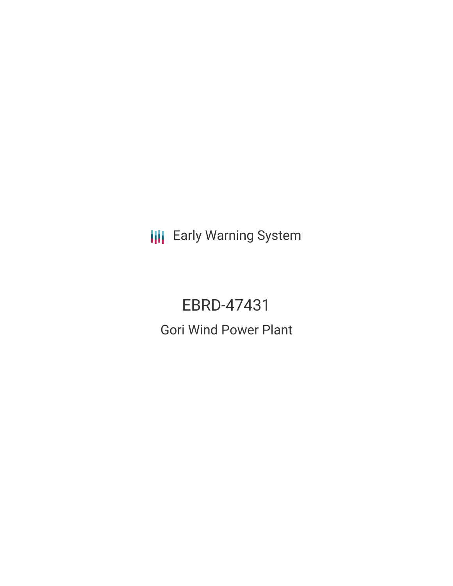**III** Early Warning System

EBRD-47431 Gori Wind Power Plant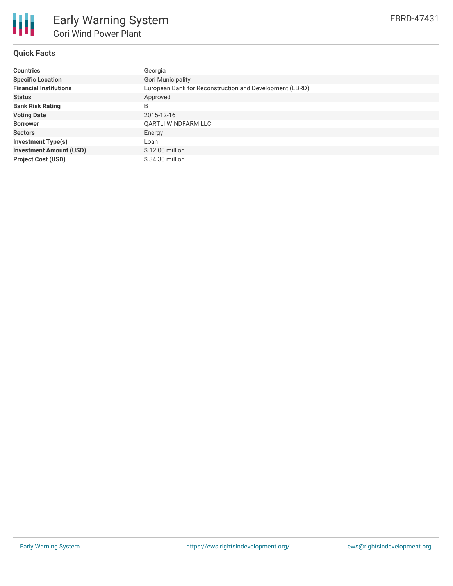

# **Quick Facts**

| <b>Countries</b>               | Georgia                                                 |
|--------------------------------|---------------------------------------------------------|
| <b>Specific Location</b>       | <b>Gori Municipality</b>                                |
| <b>Financial Institutions</b>  | European Bank for Reconstruction and Development (EBRD) |
| <b>Status</b>                  | Approved                                                |
| <b>Bank Risk Rating</b>        | B                                                       |
| <b>Voting Date</b>             | 2015-12-16                                              |
| <b>Borrower</b>                | QARTLI WINDFARM LLC                                     |
| <b>Sectors</b>                 | Energy                                                  |
| <b>Investment Type(s)</b>      | Loan                                                    |
| <b>Investment Amount (USD)</b> | $$12.00$ million                                        |
| <b>Project Cost (USD)</b>      | \$34.30 million                                         |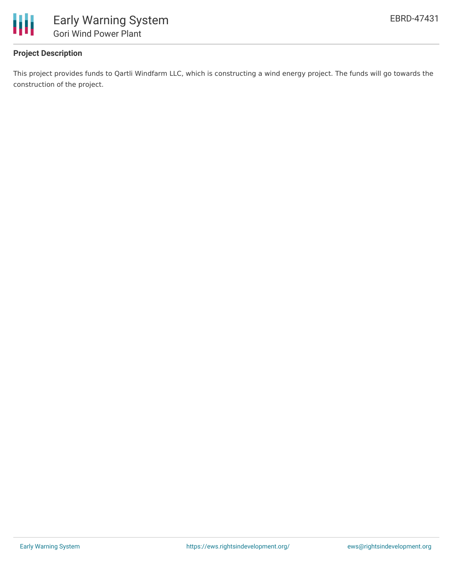

# **Project Description**

This project provides funds to Qartli Windfarm LLC, which is constructing a wind energy project. The funds will go towards the construction of the project.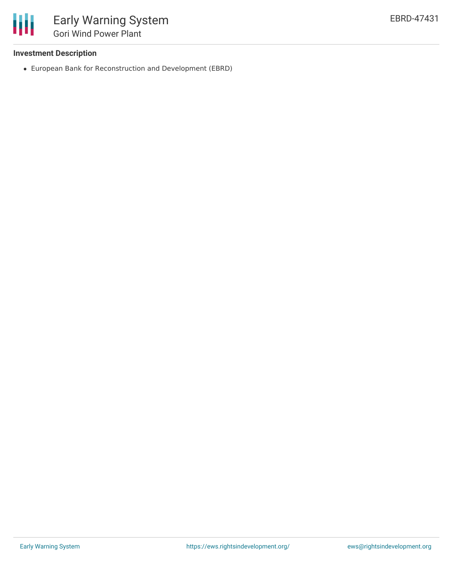

# **Investment Description**

European Bank for Reconstruction and Development (EBRD)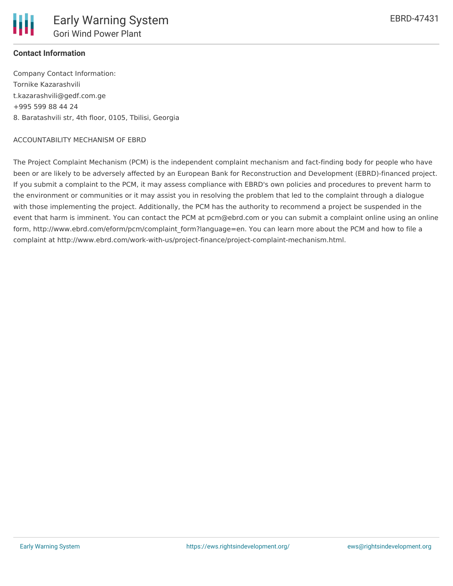### **Contact Information**

Company Contact Information: Tornike Kazarashvili t.kazarashvili@gedf.com.ge +995 599 88 44 24 8. Baratashvili str, 4th floor, 0105, Tbilisi, Georgia

#### ACCOUNTABILITY MECHANISM OF EBRD

The Project Complaint Mechanism (PCM) is the independent complaint mechanism and fact-finding body for people who have been or are likely to be adversely affected by an European Bank for Reconstruction and Development (EBRD)-financed project. If you submit a complaint to the PCM, it may assess compliance with EBRD's own policies and procedures to prevent harm to the environment or communities or it may assist you in resolving the problem that led to the complaint through a dialogue with those implementing the project. Additionally, the PCM has the authority to recommend a project be suspended in the event that harm is imminent. You can contact the PCM at pcm@ebrd.com or you can submit a complaint online using an online form, http://www.ebrd.com/eform/pcm/complaint\_form?language=en. You can learn more about the PCM and how to file a complaint at http://www.ebrd.com/work-with-us/project-finance/project-complaint-mechanism.html.